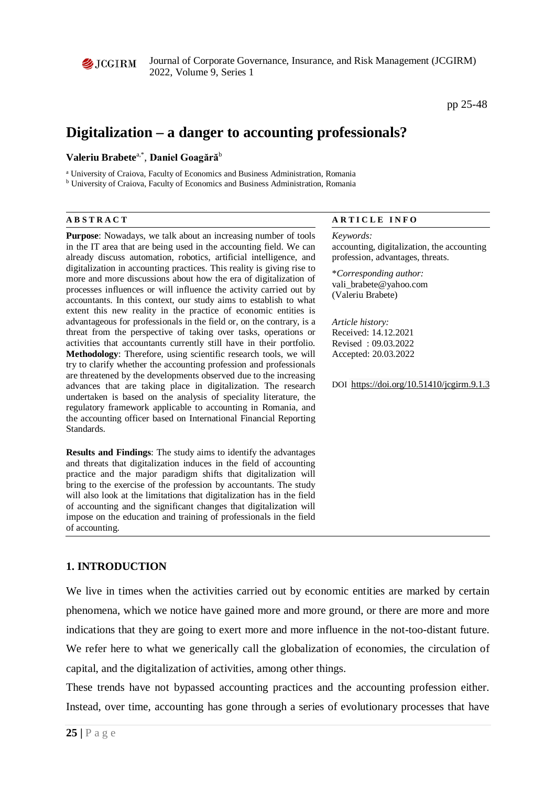

Journal of Corporate Governance, Insurance, and Risk Management (JCGIRM) 2022, Volume 9, Series 1

pp 25-48

# **Digitalization – a danger to accounting professionals?**

## **Valeriu Brabete**a,\*, **Daniel Goagără**<sup>b</sup>

<sup>a</sup> University of Craiova, Faculty of Economics and Business Administration, Romania <sup>b</sup> University of Craiova, Faculty of Economics and Business Administration, Romania

**Purpose**: Nowadays, we talk about an increasing number of tools in the IT area that are being used in the accounting field. We can already discuss automation, robotics, artificial intelligence, and digitalization in accounting practices. This reality is giving rise to more and more discussions about how the era of digitalization of processes influences or will influence the activity carried out by accountants. In this context, our study aims to establish to what extent this new reality in the practice of economic entities is advantageous for professionals in the field or, on the contrary, is a threat from the perspective of taking over tasks, operations or activities that accountants currently still have in their portfolio. **Methodology**: Therefore, using scientific research tools, we will try to clarify whether the accounting profession and professionals are threatened by the developments observed due to the increasing advances that are taking place in digitalization. The research undertaken is based on the analysis of speciality literature, the regulatory framework applicable to accounting in Romania, and the accounting officer based on International Financial Reporting Standards.

**Results and Findings**: The study aims to identify the advantages and threats that digitalization induces in the field of accounting practice and the major paradigm shifts that digitalization will bring to the exercise of the profession by accountants. The study will also look at the limitations that digitalization has in the field of accounting and the significant changes that digitalization will impose on the education and training of professionals in the field of accounting.

#### **ABSTRACT** ARTICLE INFO

#### *Keywords:*

accounting, digitalization, the accounting profession, advantages, threats.

\**Corresponding author:*  vali\_brabete@yahoo.com (Valeriu Brabete)

#### *Article history:*

Received: 14.12.2021 Revised : 09.03.2022 Accepted: 20.03.2022

DOI [https://doi.org/10.51410/jcgirm.9.1.3](https://doi.org/10.51410/jcgirm.8.2.1)

# **1. INTRODUCTION**

We live in times when the activities carried out by economic entities are marked by certain phenomena, which we notice have gained more and more ground, or there are more and more indications that they are going to exert more and more influence in the not-too-distant future. We refer here to what we generically call the globalization of economies, the circulation of capital, and the digitalization of activities, among other things.

These trends have not bypassed accounting practices and the accounting profession either. Instead, over time, accounting has gone through a series of evolutionary processes that have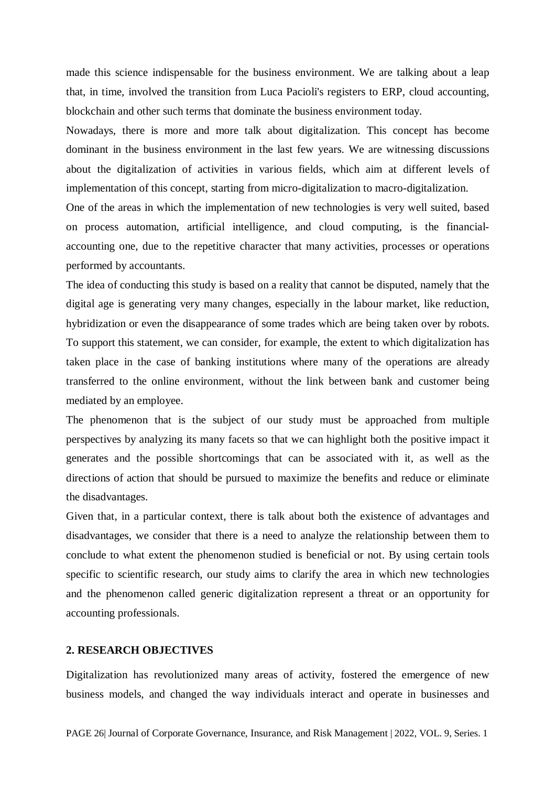made this science indispensable for the business environment. We are talking about a leap that, in time, involved the transition from Luca Pacioli's registers to ERP, cloud accounting, blockchain and other such terms that dominate the business environment today.

Nowadays, there is more and more talk about digitalization. This concept has become dominant in the business environment in the last few years. We are witnessing discussions about the digitalization of activities in various fields, which aim at different levels of implementation of this concept, starting from micro-digitalization to macro-digitalization.

One of the areas in which the implementation of new technologies is very well suited, based on process automation, artificial intelligence, and cloud computing, is the financialaccounting one, due to the repetitive character that many activities, processes or operations performed by accountants.

The idea of conducting this study is based on a reality that cannot be disputed, namely that the digital age is generating very many changes, especially in the labour market, like reduction, hybridization or even the disappearance of some trades which are being taken over by robots. To support this statement, we can consider, for example, the extent to which digitalization has taken place in the case of banking institutions where many of the operations are already transferred to the online environment, without the link between bank and customer being mediated by an employee.

The phenomenon that is the subject of our study must be approached from multiple perspectives by analyzing its many facets so that we can highlight both the positive impact it generates and the possible shortcomings that can be associated with it, as well as the directions of action that should be pursued to maximize the benefits and reduce or eliminate the disadvantages.

Given that, in a particular context, there is talk about both the existence of advantages and disadvantages, we consider that there is a need to analyze the relationship between them to conclude to what extent the phenomenon studied is beneficial or not. By using certain tools specific to scientific research, our study aims to clarify the area in which new technologies and the phenomenon called generic digitalization represent a threat or an opportunity for accounting professionals.

## **2. RESEARCH OBJECTIVES**

Digitalization has revolutionized many areas of activity, fostered the emergence of new business models, and changed the way individuals interact and operate in businesses and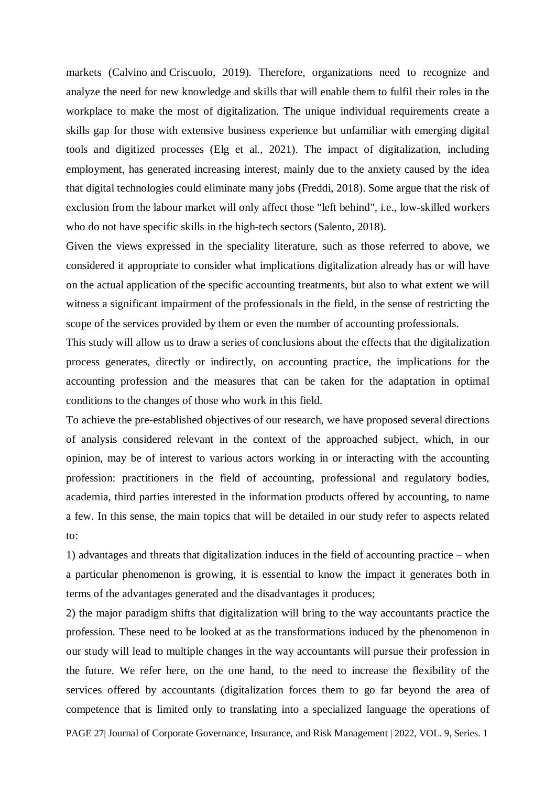markets (Calvino and Criscuolo, 2019). Therefore, organizations need to recognize and analyze the need for new knowledge and skills that will enable them to fulfil their roles in the workplace to make the most of digitalization. The unique individual requirements create a skills gap for those with extensive business experience but unfamiliar with emerging digital tools and digitized processes (Elg et al., 2021). The impact of digitalization, including employment, has generated increasing interest, mainly due to the anxiety caused by the idea that digital technologies could eliminate many jobs (Freddi, 2018). Some argue that the risk of exclusion from the labour market will only affect those "left behind", i.e., low-skilled workers who do not have specific skills in the high-tech sectors (Salento, 2018).

Given the views expressed in the speciality literature, such as those referred to above, we considered it appropriate to consider what implications digitalization already has or will have on the actual application of the specific accounting treatments, but also to what extent we will witness a significant impairment of the professionals in the field, in the sense of restricting the scope of the services provided by them or even the number of accounting professionals.

This study will allow us to draw a series of conclusions about the effects that the digitalization process generates, directly or indirectly, on accounting practice, the implications for the accounting profession and the measures that can be taken for the adaptation in optimal conditions to the changes of those who work in this field.

To achieve the pre-established objectives of our research, we have proposed several directions of analysis considered relevant in the context of the approached subject, which, in our opinion, may be of interest to various actors working in or interacting with the accounting profession: practitioners in the field of accounting, professional and regulatory bodies, academia, third parties interested in the information products offered by accounting, to name a few. In this sense, the main topics that will be detailed in our study refer to aspects related to:

1) advantages and threats that digitalization induces in the field of accounting practice – when a particular phenomenon is growing, it is essential to know the impact it generates both in terms of the advantages generated and the disadvantages it produces;

2) the major paradigm shifts that digitalization will bring to the way accountants practice the profession. These need to be looked at as the transformations induced by the phenomenon in our study will lead to multiple changes in the way accountants will pursue their profession in the future. We refer here, on the one hand, to the need to increase the flexibility of the services offered by accountants (digitalization forces them to go far beyond the area of competence that is limited only to translating into a specialized language the operations of

PAGE 27| Journal of Corporate Governance, Insurance, and Risk Management | 2022, VOL. 9, Series. 1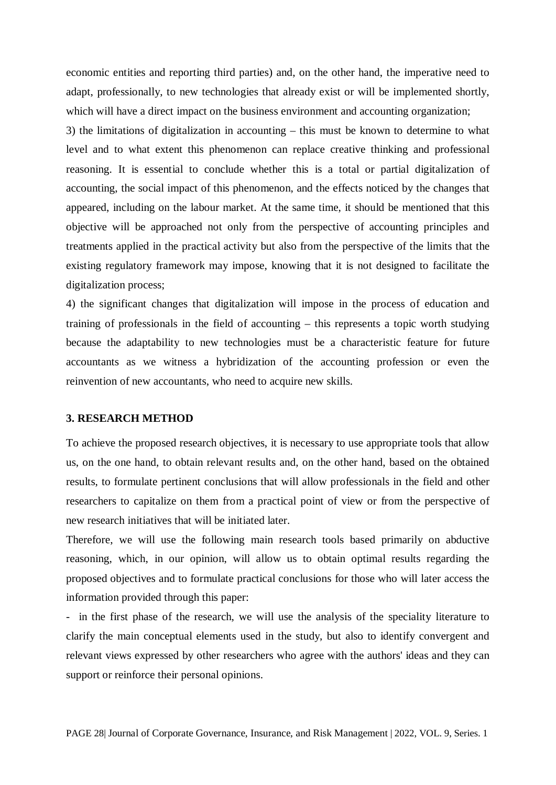economic entities and reporting third parties) and, on the other hand, the imperative need to adapt, professionally, to new technologies that already exist or will be implemented shortly, which will have a direct impact on the business environment and accounting organization;

3) the limitations of digitalization in accounting – this must be known to determine to what level and to what extent this phenomenon can replace creative thinking and professional reasoning. It is essential to conclude whether this is a total or partial digitalization of accounting, the social impact of this phenomenon, and the effects noticed by the changes that appeared, including on the labour market. At the same time, it should be mentioned that this objective will be approached not only from the perspective of accounting principles and treatments applied in the practical activity but also from the perspective of the limits that the existing regulatory framework may impose, knowing that it is not designed to facilitate the digitalization process;

4) the significant changes that digitalization will impose in the process of education and training of professionals in the field of accounting – this represents a topic worth studying because the adaptability to new technologies must be a characteristic feature for future accountants as we witness a hybridization of the accounting profession or even the reinvention of new accountants, who need to acquire new skills.

#### **3. RESEARCH METHOD**

To achieve the proposed research objectives, it is necessary to use appropriate tools that allow us, on the one hand, to obtain relevant results and, on the other hand, based on the obtained results, to formulate pertinent conclusions that will allow professionals in the field and other researchers to capitalize on them from a practical point of view or from the perspective of new research initiatives that will be initiated later.

Therefore, we will use the following main research tools based primarily on abductive reasoning, which, in our opinion, will allow us to obtain optimal results regarding the proposed objectives and to formulate practical conclusions for those who will later access the information provided through this paper:

- in the first phase of the research, we will use the analysis of the speciality literature to clarify the main conceptual elements used in the study, but also to identify convergent and relevant views expressed by other researchers who agree with the authors' ideas and they can support or reinforce their personal opinions.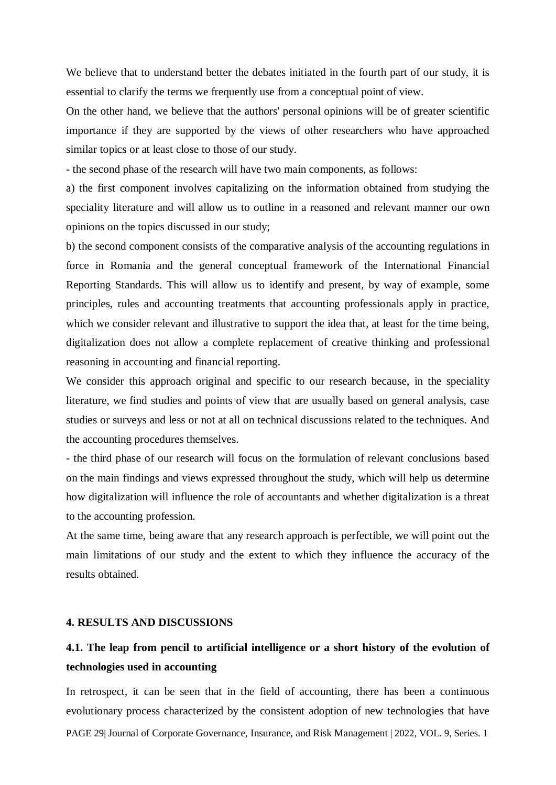We believe that to understand better the debates initiated in the fourth part of our study, it is essential to clarify the terms we frequently use from a conceptual point of view.

On the other hand, we believe that the authors' personal opinions will be of greater scientific importance if they are supported by the views of other researchers who have approached similar topics or at least close to those of our study.

- the second phase of the research will have two main components, as follows:

a) the first component involves capitalizing on the information obtained from studying the speciality literature and will allow us to outline in a reasoned and relevant manner our own opinions on the topics discussed in our study;

b) the second component consists of the comparative analysis of the accounting regulations in force in Romania and the general conceptual framework of the International Financial Reporting Standards. This will allow us to identify and present, by way of example, some principles, rules and accounting treatments that accounting professionals apply in practice, which we consider relevant and illustrative to support the idea that, at least for the time being, digitalization does not allow a complete replacement of creative thinking and professional reasoning in accounting and financial reporting.

We consider this approach original and specific to our research because, in the speciality literature, we find studies and points of view that are usually based on general analysis, case studies or surveys and less or not at all on technical discussions related to the techniques. And the accounting procedures themselves.

- the third phase of our research will focus on the formulation of relevant conclusions based on the main findings and views expressed throughout the study, which will help us determine how digitalization will influence the role of accountants and whether digitalization is a threat to the accounting profession.

At the same time, being aware that any research approach is perfectible, we will point out the main limitations of our study and the extent to which they influence the accuracy of the results obtained.

## **4. RESULTS AND DISCUSSIONS**

# **4.1. The leap from pencil to artificial intelligence or a short history of the evolution of technologies used in accounting**

PAGE 29| Journal of Corporate Governance, Insurance, and Risk Management | 2022, VOL. 9, Series. 1 In retrospect, it can be seen that in the field of accounting, there has been a continuous evolutionary process characterized by the consistent adoption of new technologies that have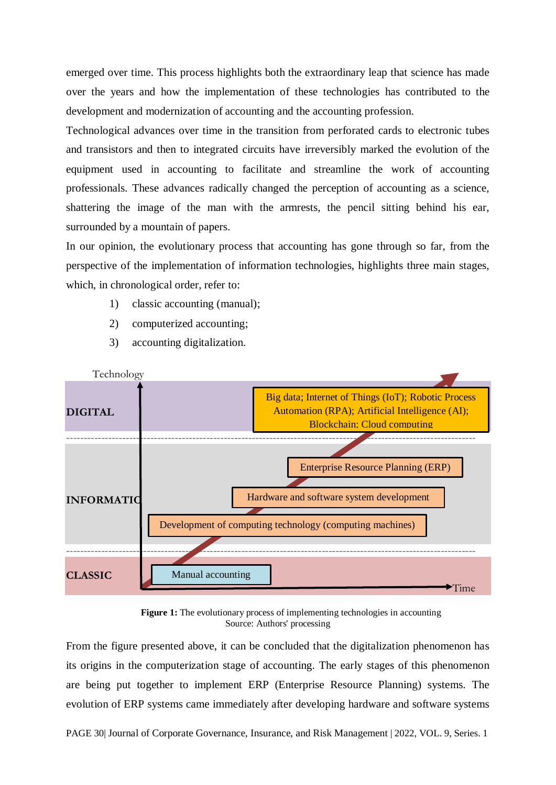emerged over time. This process highlights both the extraordinary leap that science has made over the years and how the implementation of these technologies has contributed to the development and modernization of accounting and the accounting profession.

Technological advances over time in the transition from perforated cards to electronic tubes and transistors and then to integrated circuits have irreversibly marked the evolution of the equipment used in accounting to facilitate and streamline the work of accounting professionals. These advances radically changed the perception of accounting as a science, shattering the image of the man with the armrests, the pencil sitting behind his ear, surrounded by a mountain of papers.

In our opinion, the evolutionary process that accounting has gone through so far, from the perspective of the implementation of information technologies, highlights three main stages, which, in chronological order, refer to:

- 1) classic accounting (manual);
- 2) computerized accounting;
- 3) accounting digitalization.



**Figure 1:** The evolutionary process of implementing technologies in accounting Source: Authors' processing

From the figure presented above, it can be concluded that the digitalization phenomenon has its origins in the computerization stage of accounting. The early stages of this phenomenon are being put together to implement ERP (Enterprise Resource Planning) systems. The evolution of ERP systems came immediately after developing hardware and software systems

PAGE 30| Journal of Corporate Governance, Insurance, and Risk Management | 2022, VOL. 9, Series. 1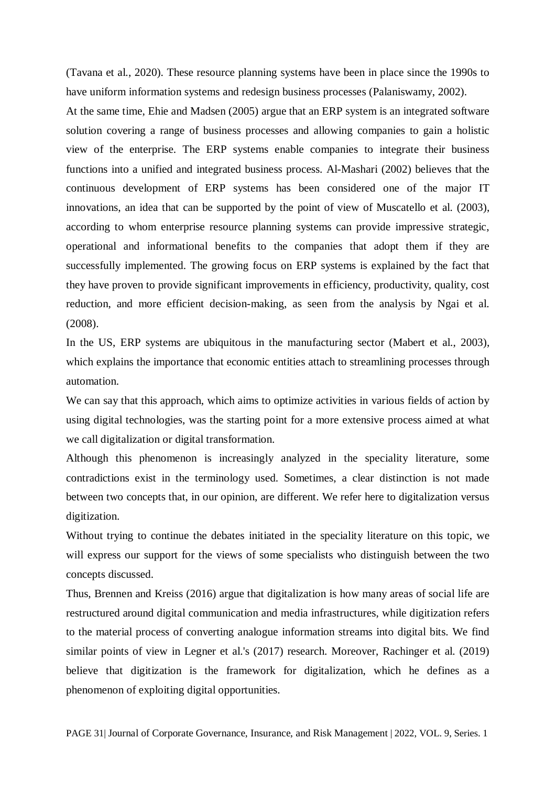(Tavana et al., 2020). These resource planning systems have been in place since the 1990s to have uniform information systems and redesign business processes (Palaniswamy, 2002).

At the same time, Ehie and Madsen (2005) argue that an ERP system is an integrated software solution covering a range of business processes and allowing companies to gain a holistic view of the enterprise. The ERP systems enable companies to integrate their business functions into a unified and integrated business process. Al-Mashari (2002) believes that the continuous development of ERP systems has been considered one of the major IT innovations, an idea that can be supported by the point of view of Muscatello et al. (2003), according to whom enterprise resource planning systems can provide impressive strategic, operational and informational benefits to the companies that adopt them if they are successfully implemented. The growing focus on ERP systems is explained by the fact that they have proven to provide significant improvements in efficiency, productivity, quality, cost reduction, and more efficient decision-making, as seen from the analysis by Ngai et al. (2008).

In the US, ERP systems are ubiquitous in the manufacturing sector (Mabert et al., 2003), which explains the importance that economic entities attach to streamlining processes through automation.

We can say that this approach, which aims to optimize activities in various fields of action by using digital technologies, was the starting point for a more extensive process aimed at what we call digitalization or digital transformation.

Although this phenomenon is increasingly analyzed in the speciality literature, some contradictions exist in the terminology used. Sometimes, a clear distinction is not made between two concepts that, in our opinion, are different. We refer here to digitalization versus digitization.

Without trying to continue the debates initiated in the speciality literature on this topic, we will express our support for the views of some specialists who distinguish between the two concepts discussed.

Thus, Brennen and Kreiss (2016) argue that digitalization is how many areas of social life are restructured around digital communication and media infrastructures, while digitization refers to the material process of converting analogue information streams into digital bits. We find similar points of view in Legner et al.'s (2017) research. Moreover, Rachinger et al. (2019) believe that digitization is the framework for digitalization, which he defines as a phenomenon of exploiting digital opportunities.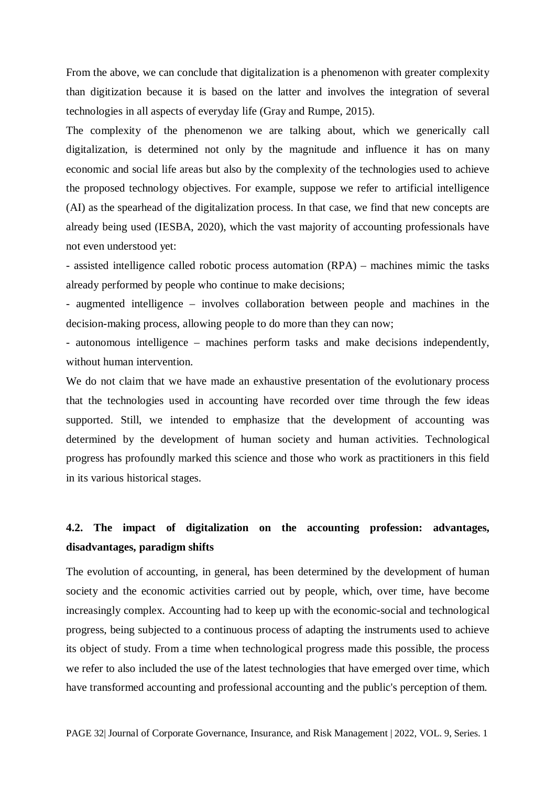From the above, we can conclude that digitalization is a phenomenon with greater complexity than digitization because it is based on the latter and involves the integration of several technologies in all aspects of everyday life (Gray and Rumpe, 2015).

The complexity of the phenomenon we are talking about, which we generically call digitalization, is determined not only by the magnitude and influence it has on many economic and social life areas but also by the complexity of the technologies used to achieve the proposed technology objectives. For example, suppose we refer to artificial intelligence (AI) as the spearhead of the digitalization process. In that case, we find that new concepts are already being used (IESBA, 2020), which the vast majority of accounting professionals have not even understood yet:

- assisted intelligence called robotic process automation (RPA) – machines mimic the tasks already performed by people who continue to make decisions;

- augmented intelligence – involves collaboration between people and machines in the decision-making process, allowing people to do more than they can now;

- autonomous intelligence – machines perform tasks and make decisions independently, without human intervention.

We do not claim that we have made an exhaustive presentation of the evolutionary process that the technologies used in accounting have recorded over time through the few ideas supported. Still, we intended to emphasize that the development of accounting was determined by the development of human society and human activities. Technological progress has profoundly marked this science and those who work as practitioners in this field in its various historical stages.

# **4.2. The impact of digitalization on the accounting profession: advantages, disadvantages, paradigm shifts**

The evolution of accounting, in general, has been determined by the development of human society and the economic activities carried out by people, which, over time, have become increasingly complex. Accounting had to keep up with the economic-social and technological progress, being subjected to a continuous process of adapting the instruments used to achieve its object of study. From a time when technological progress made this possible, the process we refer to also included the use of the latest technologies that have emerged over time, which have transformed accounting and professional accounting and the public's perception of them.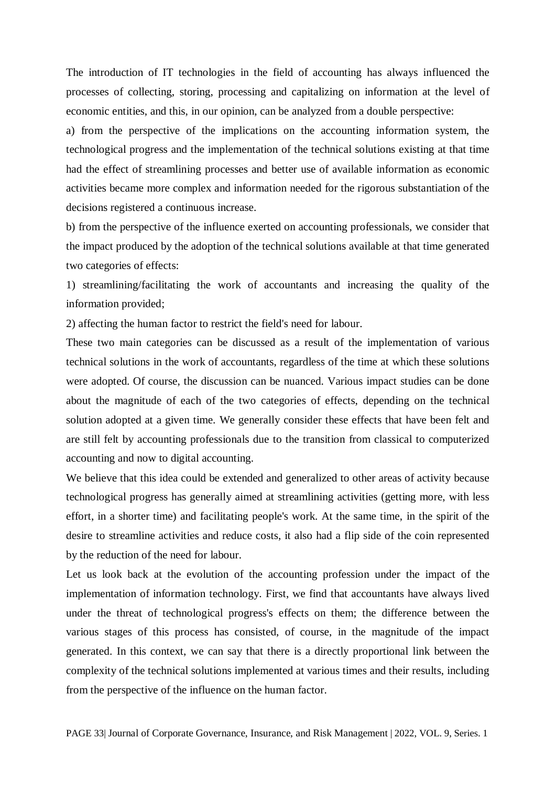The introduction of IT technologies in the field of accounting has always influenced the processes of collecting, storing, processing and capitalizing on information at the level of economic entities, and this, in our opinion, can be analyzed from a double perspective:

a) from the perspective of the implications on the accounting information system, the technological progress and the implementation of the technical solutions existing at that time had the effect of streamlining processes and better use of available information as economic activities became more complex and information needed for the rigorous substantiation of the decisions registered a continuous increase.

b) from the perspective of the influence exerted on accounting professionals, we consider that the impact produced by the adoption of the technical solutions available at that time generated two categories of effects:

1) streamlining/facilitating the work of accountants and increasing the quality of the information provided;

2) affecting the human factor to restrict the field's need for labour.

These two main categories can be discussed as a result of the implementation of various technical solutions in the work of accountants, regardless of the time at which these solutions were adopted. Of course, the discussion can be nuanced. Various impact studies can be done about the magnitude of each of the two categories of effects, depending on the technical solution adopted at a given time. We generally consider these effects that have been felt and are still felt by accounting professionals due to the transition from classical to computerized accounting and now to digital accounting.

We believe that this idea could be extended and generalized to other areas of activity because technological progress has generally aimed at streamlining activities (getting more, with less effort, in a shorter time) and facilitating people's work. At the same time, in the spirit of the desire to streamline activities and reduce costs, it also had a flip side of the coin represented by the reduction of the need for labour.

Let us look back at the evolution of the accounting profession under the impact of the implementation of information technology. First, we find that accountants have always lived under the threat of technological progress's effects on them; the difference between the various stages of this process has consisted, of course, in the magnitude of the impact generated. In this context, we can say that there is a directly proportional link between the complexity of the technical solutions implemented at various times and their results, including from the perspective of the influence on the human factor.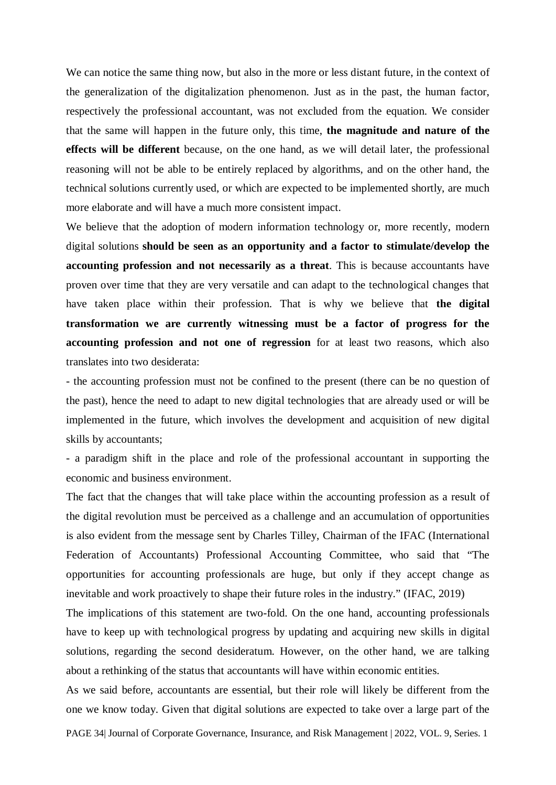We can notice the same thing now, but also in the more or less distant future, in the context of the generalization of the digitalization phenomenon. Just as in the past, the human factor, respectively the professional accountant, was not excluded from the equation. We consider that the same will happen in the future only, this time, **the magnitude and nature of the effects will be different** because, on the one hand, as we will detail later, the professional reasoning will not be able to be entirely replaced by algorithms, and on the other hand, the technical solutions currently used, or which are expected to be implemented shortly, are much more elaborate and will have a much more consistent impact.

We believe that the adoption of modern information technology or, more recently, modern digital solutions **should be seen as an opportunity and a factor to stimulate/develop the accounting profession and not necessarily as a threat**. This is because accountants have proven over time that they are very versatile and can adapt to the technological changes that have taken place within their profession. That is why we believe that **the digital transformation we are currently witnessing must be a factor of progress for the accounting profession and not one of regression** for at least two reasons, which also translates into two desiderata:

- the accounting profession must not be confined to the present (there can be no question of the past), hence the need to adapt to new digital technologies that are already used or will be implemented in the future, which involves the development and acquisition of new digital skills by accountants;

- a paradigm shift in the place and role of the professional accountant in supporting the economic and business environment.

The fact that the changes that will take place within the accounting profession as a result of the digital revolution must be perceived as a challenge and an accumulation of opportunities is also evident from the message sent by Charles Tilley, Chairman of the IFAC (International Federation of Accountants) Professional Accounting Committee, who said that "The opportunities for accounting professionals are huge, but only if they accept change as inevitable and work proactively to shape their future roles in the industry." (IFAC, 2019)

The implications of this statement are two-fold. On the one hand, accounting professionals have to keep up with technological progress by updating and acquiring new skills in digital solutions, regarding the second desideratum. However, on the other hand, we are talking about a rethinking of the status that accountants will have within economic entities.

As we said before, accountants are essential, but their role will likely be different from the one we know today. Given that digital solutions are expected to take over a large part of the

PAGE 34| Journal of Corporate Governance, Insurance, and Risk Management | 2022, VOL. 9, Series. 1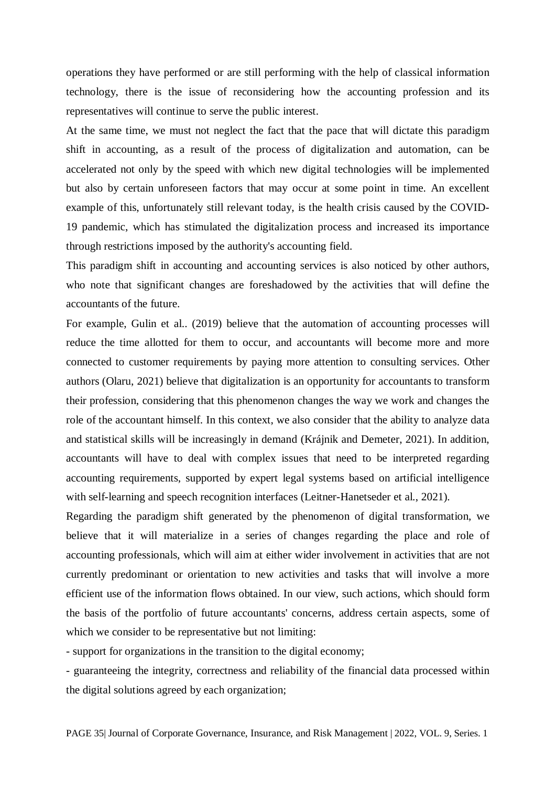operations they have performed or are still performing with the help of classical information technology, there is the issue of reconsidering how the accounting profession and its representatives will continue to serve the public interest.

At the same time, we must not neglect the fact that the pace that will dictate this paradigm shift in accounting, as a result of the process of digitalization and automation, can be accelerated not only by the speed with which new digital technologies will be implemented but also by certain unforeseen factors that may occur at some point in time. An excellent example of this, unfortunately still relevant today, is the health crisis caused by the COVID-19 pandemic, which has stimulated the digitalization process and increased its importance through restrictions imposed by the authority's accounting field.

This paradigm shift in accounting and accounting services is also noticed by other authors, who note that significant changes are foreshadowed by the activities that will define the accountants of the future.

For example, Gulin et al.. (2019) believe that the automation of accounting processes will reduce the time allotted for them to occur, and accountants will become more and more connected to customer requirements by paying more attention to consulting services. Other authors (Olaru, 2021) believe that digitalization is an opportunity for accountants to transform their profession, considering that this phenomenon changes the way we work and changes the role of the accountant himself. In this context, we also consider that the ability to analyze data and statistical skills will be increasingly in demand (Krájnik and Demeter, 2021). In addition, accountants will have to deal with complex issues that need to be interpreted regarding accounting requirements, supported by expert legal systems based on artificial intelligence with self-learning and speech recognition interfaces (Leitner-Hanetseder et al., 2021).

Regarding the paradigm shift generated by the phenomenon of digital transformation, we believe that it will materialize in a series of changes regarding the place and role of accounting professionals, which will aim at either wider involvement in activities that are not currently predominant or orientation to new activities and tasks that will involve a more efficient use of the information flows obtained. In our view, such actions, which should form the basis of the portfolio of future accountants' concerns, address certain aspects, some of which we consider to be representative but not limiting:

- support for organizations in the transition to the digital economy;

- guaranteeing the integrity, correctness and reliability of the financial data processed within the digital solutions agreed by each organization;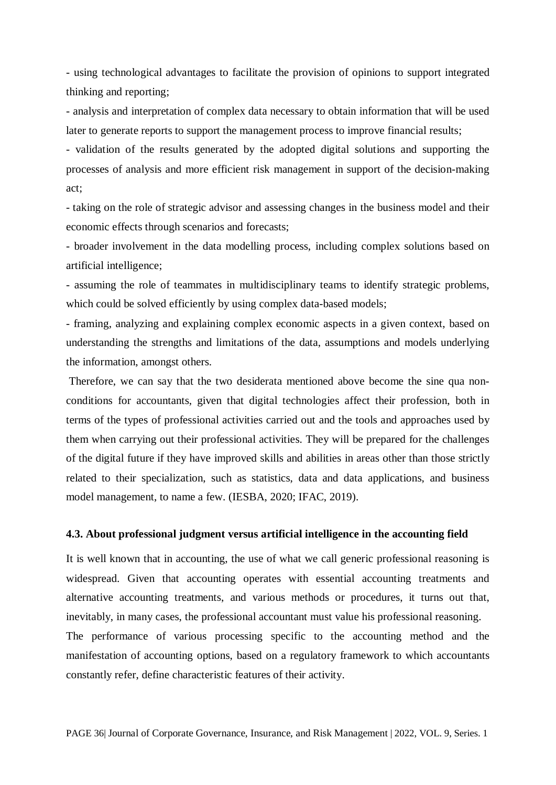- using technological advantages to facilitate the provision of opinions to support integrated thinking and reporting;

- analysis and interpretation of complex data necessary to obtain information that will be used later to generate reports to support the management process to improve financial results;

- validation of the results generated by the adopted digital solutions and supporting the processes of analysis and more efficient risk management in support of the decision-making act;

- taking on the role of strategic advisor and assessing changes in the business model and their economic effects through scenarios and forecasts;

- broader involvement in the data modelling process, including complex solutions based on artificial intelligence;

- assuming the role of teammates in multidisciplinary teams to identify strategic problems, which could be solved efficiently by using complex data-based models;

- framing, analyzing and explaining complex economic aspects in a given context, based on understanding the strengths and limitations of the data, assumptions and models underlying the information, amongst others.

Therefore, we can say that the two desiderata mentioned above become the sine qua nonconditions for accountants, given that digital technologies affect their profession, both in terms of the types of professional activities carried out and the tools and approaches used by them when carrying out their professional activities. They will be prepared for the challenges of the digital future if they have improved skills and abilities in areas other than those strictly related to their specialization, such as statistics, data and data applications, and business model management, to name a few. (IESBA, 2020; IFAC, 2019).

## **4.3. About professional judgment versus artificial intelligence in the accounting field**

It is well known that in accounting, the use of what we call generic professional reasoning is widespread. Given that accounting operates with essential accounting treatments and alternative accounting treatments, and various methods or procedures, it turns out that, inevitably, in many cases, the professional accountant must value his professional reasoning.

The performance of various processing specific to the accounting method and the manifestation of accounting options, based on a regulatory framework to which accountants constantly refer, define characteristic features of their activity.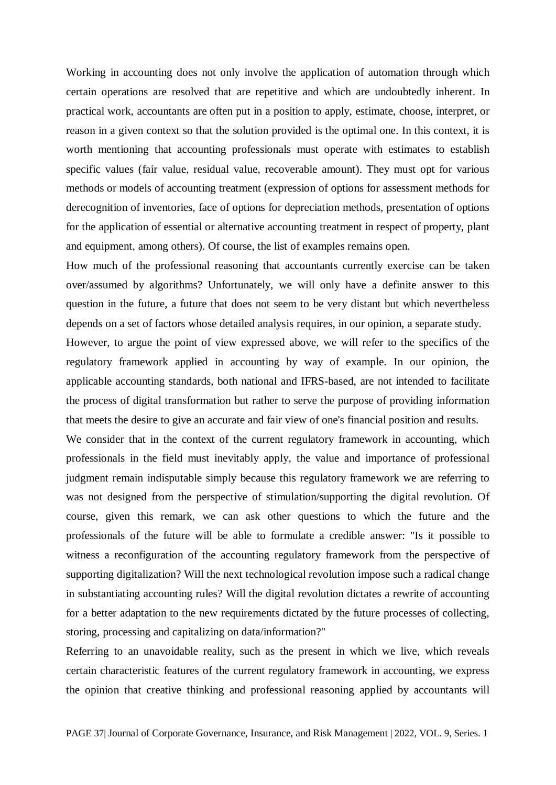Working in accounting does not only involve the application of automation through which certain operations are resolved that are repetitive and which are undoubtedly inherent. In practical work, accountants are often put in a position to apply, estimate, choose, interpret, or reason in a given context so that the solution provided is the optimal one. In this context, it is worth mentioning that accounting professionals must operate with estimates to establish specific values (fair value, residual value, recoverable amount). They must opt for various methods or models of accounting treatment (expression of options for assessment methods for derecognition of inventories, face of options for depreciation methods, presentation of options for the application of essential or alternative accounting treatment in respect of property, plant and equipment, among others). Of course, the list of examples remains open.

How much of the professional reasoning that accountants currently exercise can be taken over/assumed by algorithms? Unfortunately, we will only have a definite answer to this question in the future, a future that does not seem to be very distant but which nevertheless depends on a set of factors whose detailed analysis requires, in our opinion, a separate study.

However, to argue the point of view expressed above, we will refer to the specifics of the regulatory framework applied in accounting by way of example. In our opinion, the applicable accounting standards, both national and IFRS-based, are not intended to facilitate the process of digital transformation but rather to serve the purpose of providing information that meets the desire to give an accurate and fair view of one's financial position and results.

We consider that in the context of the current regulatory framework in accounting, which professionals in the field must inevitably apply, the value and importance of professional judgment remain indisputable simply because this regulatory framework we are referring to was not designed from the perspective of stimulation/supporting the digital revolution. Of course, given this remark, we can ask other questions to which the future and the professionals of the future will be able to formulate a credible answer: "Is it possible to witness a reconfiguration of the accounting regulatory framework from the perspective of supporting digitalization? Will the next technological revolution impose such a radical change in substantiating accounting rules? Will the digital revolution dictates a rewrite of accounting for a better adaptation to the new requirements dictated by the future processes of collecting, storing, processing and capitalizing on data/information?"

Referring to an unavoidable reality, such as the present in which we live, which reveals certain characteristic features of the current regulatory framework in accounting, we express the opinion that creative thinking and professional reasoning applied by accountants will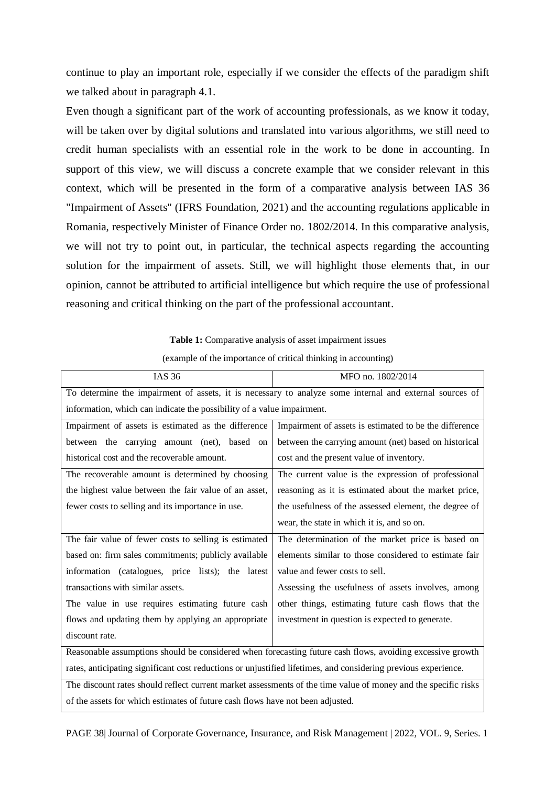continue to play an important role, especially if we consider the effects of the paradigm shift we talked about in paragraph 4.1.

Even though a significant part of the work of accounting professionals, as we know it today, will be taken over by digital solutions and translated into various algorithms, we still need to credit human specialists with an essential role in the work to be done in accounting. In support of this view, we will discuss a concrete example that we consider relevant in this context, which will be presented in the form of a comparative analysis between IAS 36 "Impairment of Assets" (IFRS Foundation, 2021) and the accounting regulations applicable in Romania, respectively Minister of Finance Order no. 1802/2014. In this comparative analysis, we will not try to point out, in particular, the technical aspects regarding the accounting solution for the impairment of assets. Still, we will highlight those elements that, in our opinion, cannot be attributed to artificial intelligence but which require the use of professional reasoning and critical thinking on the part of the professional accountant.

#### **Table 1:** Comparative analysis of asset impairment issues

#### (example of the importance of critical thinking in accounting)

| <b>IAS 36</b>                                                                                                  | MFO no. 1802/2014                                      |  |
|----------------------------------------------------------------------------------------------------------------|--------------------------------------------------------|--|
| To determine the impairment of assets, it is necessary to analyze some internal and external sources of        |                                                        |  |
| information, which can indicate the possibility of a value impairment.                                         |                                                        |  |
| Impairment of assets is estimated as the difference                                                            | Impairment of assets is estimated to be the difference |  |
| between the carrying amount (net), based on                                                                    | between the carrying amount (net) based on historical  |  |
| historical cost and the recoverable amount.                                                                    | cost and the present value of inventory.               |  |
| The recoverable amount is determined by choosing                                                               | The current value is the expression of professional    |  |
| the highest value between the fair value of an asset,                                                          | reasoning as it is estimated about the market price,   |  |
| fewer costs to selling and its importance in use.                                                              | the usefulness of the assessed element, the degree of  |  |
|                                                                                                                | wear, the state in which it is, and so on.             |  |
| The fair value of fewer costs to selling is estimated                                                          | The determination of the market price is based on      |  |
| based on: firm sales commitments; publicly available                                                           | elements similar to those considered to estimate fair  |  |
| information (catalogues, price lists); the latest                                                              | value and fewer costs to sell.                         |  |
| transactions with similar assets.                                                                              | Assessing the usefulness of assets involves, among     |  |
| The value in use requires estimating future cash                                                               | other things, estimating future cash flows that the    |  |
| flows and updating them by applying an appropriate                                                             | investment in question is expected to generate.        |  |
| discount rate.                                                                                                 |                                                        |  |
| Reasonable assumptions should be considered when forecasting future cash flows, avoiding excessive growth      |                                                        |  |
| rates, anticipating significant cost reductions or unjustified lifetimes, and considering previous experience. |                                                        |  |
| The discount rates should reflect current market assessments of the time value of money and the specific risks |                                                        |  |
| of the assets for which estimates of future cash flows have not been adjusted.                                 |                                                        |  |

PAGE 38| Journal of Corporate Governance, Insurance, and Risk Management | 2022, VOL. 9, Series. 1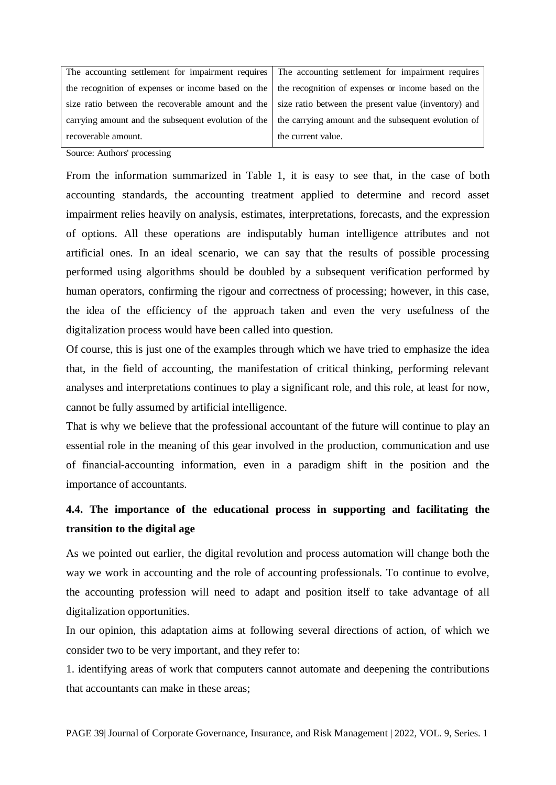|                     | The accounting settlement for impairment requires The accounting settlement for impairment requires       |
|---------------------|-----------------------------------------------------------------------------------------------------------|
|                     | the recognition of expenses or income based on the the recognition of expenses or income based on the     |
|                     | size ratio between the recoverable amount and the size ratio between the present value (inventory) and    |
|                     | carrying amount and the subsequent evolution of the   the carrying amount and the subsequent evolution of |
| recoverable amount. | the current value.                                                                                        |

Source: Authors' processing

From the information summarized in Table 1, it is easy to see that, in the case of both accounting standards, the accounting treatment applied to determine and record asset impairment relies heavily on analysis, estimates, interpretations, forecasts, and the expression of options. All these operations are indisputably human intelligence attributes and not artificial ones. In an ideal scenario, we can say that the results of possible processing performed using algorithms should be doubled by a subsequent verification performed by human operators, confirming the rigour and correctness of processing; however, in this case, the idea of the efficiency of the approach taken and even the very usefulness of the digitalization process would have been called into question.

Of course, this is just one of the examples through which we have tried to emphasize the idea that, in the field of accounting, the manifestation of critical thinking, performing relevant analyses and interpretations continues to play a significant role, and this role, at least for now, cannot be fully assumed by artificial intelligence.

That is why we believe that the professional accountant of the future will continue to play an essential role in the meaning of this gear involved in the production, communication and use of financial-accounting information, even in a paradigm shift in the position and the importance of accountants.

# **4.4. The importance of the educational process in supporting and facilitating the transition to the digital age**

As we pointed out earlier, the digital revolution and process automation will change both the way we work in accounting and the role of accounting professionals. To continue to evolve, the accounting profession will need to adapt and position itself to take advantage of all digitalization opportunities.

In our opinion, this adaptation aims at following several directions of action, of which we consider two to be very important, and they refer to:

1. identifying areas of work that computers cannot automate and deepening the contributions that accountants can make in these areas;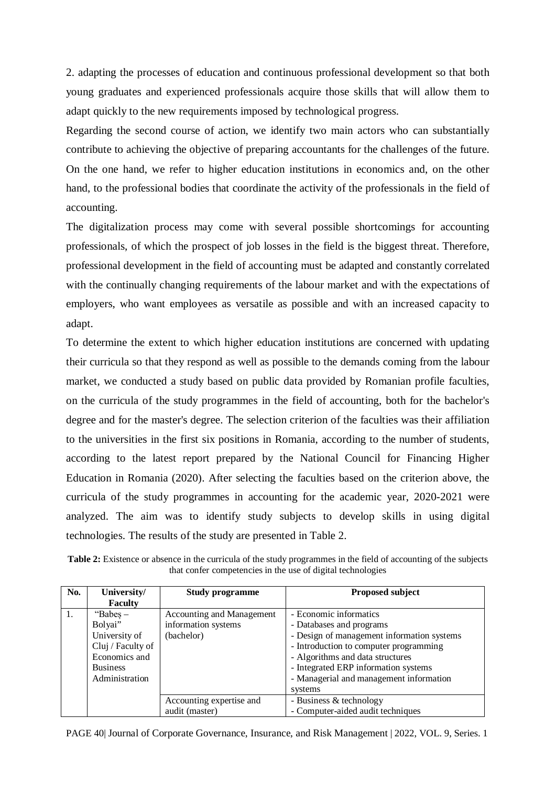2. adapting the processes of education and continuous professional development so that both young graduates and experienced professionals acquire those skills that will allow them to adapt quickly to the new requirements imposed by technological progress.

Regarding the second course of action, we identify two main actors who can substantially contribute to achieving the objective of preparing accountants for the challenges of the future. On the one hand, we refer to higher education institutions in economics and, on the other hand, to the professional bodies that coordinate the activity of the professionals in the field of accounting.

The digitalization process may come with several possible shortcomings for accounting professionals, of which the prospect of job losses in the field is the biggest threat. Therefore, professional development in the field of accounting must be adapted and constantly correlated with the continually changing requirements of the labour market and with the expectations of employers, who want employees as versatile as possible and with an increased capacity to adapt.

To determine the extent to which higher education institutions are concerned with updating their curricula so that they respond as well as possible to the demands coming from the labour market, we conducted a study based on public data provided by Romanian profile faculties, on the curricula of the study programmes in the field of accounting, both for the bachelor's degree and for the master's degree. The selection criterion of the faculties was their affiliation to the universities in the first six positions in Romania, according to the number of students, according to the latest report prepared by the National Council for Financing Higher Education in Romania (2020). After selecting the faculties based on the criterion above, the curricula of the study programmes in accounting for the academic year, 2020-2021 were analyzed. The aim was to identify study subjects to develop skills in using digital technologies. The results of the study are presented in Table 2.

**Table 2:** Existence or absence in the curricula of the study programmes in the field of accounting of the subjects that confer competencies in the use of digital technologies

| No. | University/       | <b>Study programme</b>    | <b>Proposed subject</b>                    |
|-----|-------------------|---------------------------|--------------------------------------------|
|     | <b>Faculty</b>    |                           |                                            |
| 1.  | "Babes $-$        | Accounting and Management | - Economic informatics                     |
|     | Bolyai"           | information systems       | - Databases and programs                   |
|     | University of     | (bachelor)                | - Design of management information systems |
|     | Cluj / Faculty of |                           | - Introduction to computer programming     |
|     | Economics and     |                           | - Algorithms and data structures           |
|     | <b>Business</b>   |                           | - Integrated ERP information systems       |
|     | Administration    |                           | - Managerial and management information    |
|     |                   |                           | systems                                    |
|     |                   | Accounting expertise and  | - Business & technology                    |
|     |                   | audit (master)            | - Computer-aided audit techniques          |

PAGE 40| Journal of Corporate Governance, Insurance, and Risk Management | 2022, VOL. 9, Series. 1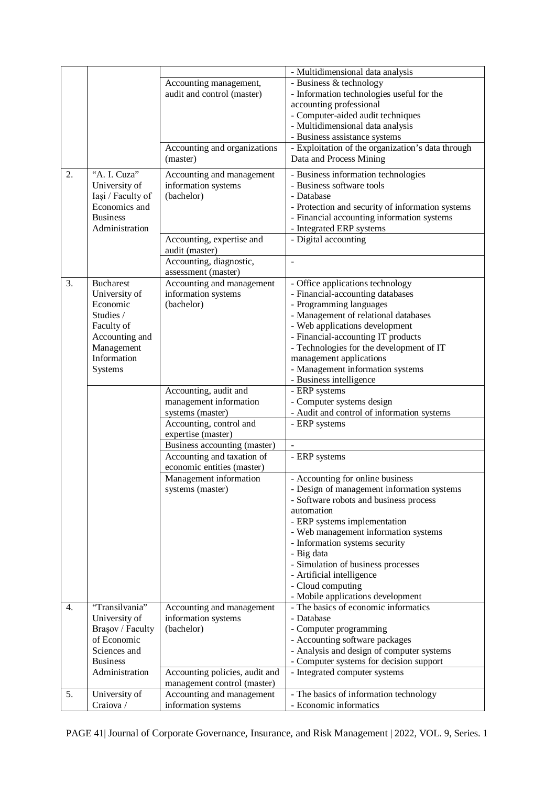|    |                   |                                | - Multidimensional data analysis                  |
|----|-------------------|--------------------------------|---------------------------------------------------|
|    |                   | Accounting management,         | - Business & technology                           |
|    |                   | audit and control (master)     | - Information technologies useful for the         |
|    |                   |                                | accounting professional                           |
|    |                   |                                | - Computer-aided audit techniques                 |
|    |                   |                                | - Multidimensional data analysis                  |
|    |                   |                                | - Business assistance systems                     |
|    |                   | Accounting and organizations   | - Exploitation of the organization's data through |
|    |                   | (master)                       | Data and Process Mining                           |
| 2. | "A. I. Cuza"      | Accounting and management      | - Business information technologies               |
|    | University of     | information systems            | - Business software tools                         |
|    | Iași / Faculty of | (bachelor)                     | - Database                                        |
|    | Economics and     |                                | - Protection and security of information systems  |
|    | <b>Business</b>   |                                | - Financial accounting information systems        |
|    | Administration    |                                | - Integrated ERP systems                          |
|    |                   | Accounting, expertise and      | - Digital accounting                              |
|    |                   | audit (master)                 |                                                   |
|    |                   | Accounting, diagnostic,        | $\overline{a}$                                    |
|    |                   | assessment (master)            |                                                   |
| 3. | <b>Bucharest</b>  | Accounting and management      | - Office applications technology                  |
|    | University of     | information systems            | - Financial-accounting databases                  |
|    | Economic          | (bachelor)                     | - Programming languages                           |
|    | Studies /         |                                | - Management of relational databases              |
|    | Faculty of        |                                | - Web applications development                    |
|    | Accounting and    |                                | - Financial-accounting IT products                |
|    | Management        |                                | - Technologies for the development of IT          |
|    | Information       |                                | management applications                           |
|    | Systems           |                                | - Management information systems                  |
|    |                   |                                | - Business intelligence                           |
|    |                   | Accounting, audit and          | - ERP systems                                     |
|    |                   | management information         | - Computer systems design                         |
|    |                   | systems (master)               | - Audit and control of information systems        |
|    |                   | Accounting, control and        | - ERP systems                                     |
|    |                   | expertise (master)             |                                                   |
|    |                   | Business accounting (master)   |                                                   |
|    |                   | Accounting and taxation of     | - ERP systems                                     |
|    |                   | economic entities (master)     |                                                   |
|    |                   | Management information         | - Accounting for online business                  |
|    |                   | systems (master)               | - Design of management information systems        |
|    |                   |                                | - Software robots and business process            |
|    |                   |                                | automation                                        |
|    |                   |                                | - ERP systems implementation                      |
|    |                   |                                | - Web management information systems              |
|    |                   |                                | - Information systems security                    |
|    |                   |                                | - Big data                                        |
|    |                   |                                | - Simulation of business processes                |
|    |                   |                                | - Artificial intelligence                         |
|    |                   |                                | - Cloud computing                                 |
|    |                   |                                | - Mobile applications development                 |
| 4. | "Transilvania"    | Accounting and management      | - The basics of economic informatics              |
|    | University of     | information systems            | - Database                                        |
|    | Brașov / Faculty  | (bachelor)                     | - Computer programming                            |
|    | of Economic       |                                | - Accounting software packages                    |
|    | Sciences and      |                                | - Analysis and design of computer systems         |
|    | <b>Business</b>   |                                | - Computer systems for decision support           |
|    | Administration    | Accounting policies, audit and | - Integrated computer systems                     |
|    |                   | management control (master)    |                                                   |
| 5. | University of     | Accounting and management      | - The basics of information technology            |
|    | Craiova /         | information systems            | - Economic informatics                            |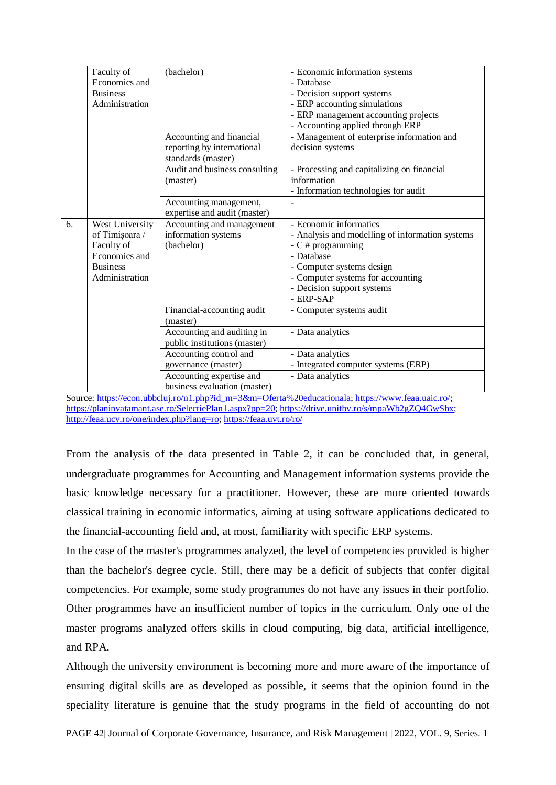|    | Faculty of      | (bachelor)                    | - Economic information systems                  |
|----|-----------------|-------------------------------|-------------------------------------------------|
|    | Economics and   |                               | - Database                                      |
|    | <b>Business</b> |                               | - Decision support systems                      |
|    | Administration  |                               | - ERP accounting simulations                    |
|    |                 |                               | - ERP management accounting projects            |
|    |                 |                               | - Accounting applied through ERP                |
|    |                 | Accounting and financial      | - Management of enterprise information and      |
|    |                 | reporting by international    | decision systems                                |
|    |                 | standards (master)            |                                                 |
|    |                 | Audit and business consulting | - Processing and capitalizing on financial      |
|    |                 | (master)                      | information                                     |
|    |                 |                               | - Information technologies for audit            |
|    |                 | Accounting management,        |                                                 |
|    |                 | expertise and audit (master)  |                                                 |
| 6. | West University | Accounting and management     | - Economic informatics                          |
|    | of Timișoara /  | information systems           | - Analysis and modelling of information systems |
|    | Faculty of      | (bachelor)                    | $-C$ # programming                              |
|    | Economics and   |                               | - Database                                      |
|    | <b>Business</b> |                               | - Computer systems design                       |
|    | Administration  |                               | - Computer systems for accounting               |
|    |                 |                               | - Decision support systems                      |
|    |                 |                               | - ERP-SAP                                       |
|    |                 | Financial-accounting audit    | - Computer systems audit                        |
|    |                 | (master)                      |                                                 |
|    |                 | Accounting and auditing in    | - Data analytics                                |
|    |                 | public institutions (master)  |                                                 |
|    |                 | Accounting control and        | - Data analytics                                |
|    |                 | governance (master)           | - Integrated computer systems (ERP)             |
|    |                 | Accounting expertise and      | - Data analytics                                |
|    |                 | business evaluation (master)  |                                                 |

Source: [https://econ.ubbcluj.ro/n1.php?id\\_m=3&m=Oferta%20educationala;](https://econ.ubbcluj.ro/n1.php?id_m=3&m=Oferta%20educationala) [https://www.feaa.uaic.ro/;](https://www.feaa.uaic.ro/) [https://planinvatamant.ase.ro/SelectiePlan1.aspx?pp=20;](https://planinvatamant.ase.ro/SelectiePlan1.aspx?pp=20) [https://drive.unitbv.ro/s/mpaWb2gZQ4GwSbx;](https://drive.unitbv.ro/s/mpaWb2gZQ4GwSbx)  [http://feaa.ucv.ro/one/index.php?lang=ro;](http://feaa.ucv.ro/one/index.php?lang=ro)<https://feaa.uvt.ro/ro/>

From the analysis of the data presented in Table 2, it can be concluded that, in general, undergraduate programmes for Accounting and Management information systems provide the basic knowledge necessary for a practitioner. However, these are more oriented towards classical training in economic informatics, aiming at using software applications dedicated to the financial-accounting field and, at most, familiarity with specific ERP systems.

In the case of the master's programmes analyzed, the level of competencies provided is higher than the bachelor's degree cycle. Still, there may be a deficit of subjects that confer digital competencies. For example, some study programmes do not have any issues in their portfolio. Other programmes have an insufficient number of topics in the curriculum. Only one of the master programs analyzed offers skills in cloud computing, big data, artificial intelligence, and RPA.

Although the university environment is becoming more and more aware of the importance of ensuring digital skills are as developed as possible, it seems that the opinion found in the speciality literature is genuine that the study programs in the field of accounting do not

PAGE 42| Journal of Corporate Governance, Insurance, and Risk Management | 2022, VOL. 9, Series. 1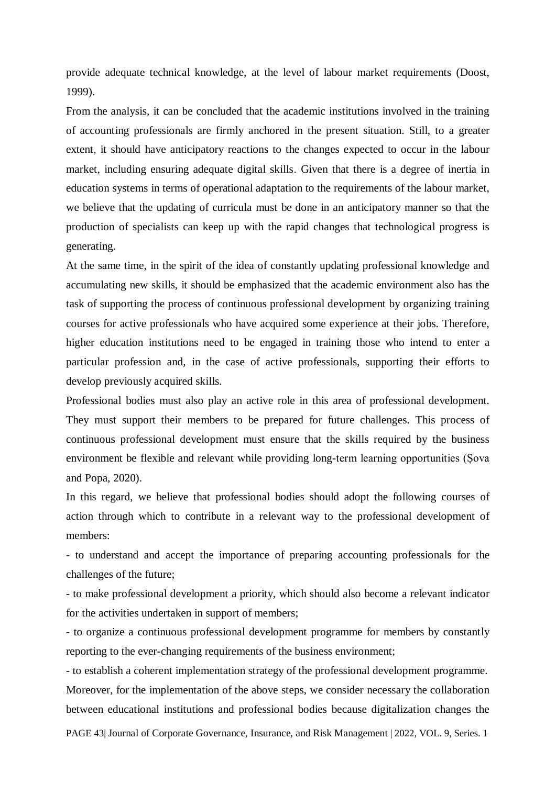provide adequate technical knowledge, at the level of labour market requirements (Doost, 1999).

From the analysis, it can be concluded that the academic institutions involved in the training of accounting professionals are firmly anchored in the present situation. Still, to a greater extent, it should have anticipatory reactions to the changes expected to occur in the labour market, including ensuring adequate digital skills. Given that there is a degree of inertia in education systems in terms of operational adaptation to the requirements of the labour market, we believe that the updating of curricula must be done in an anticipatory manner so that the production of specialists can keep up with the rapid changes that technological progress is generating.

At the same time, in the spirit of the idea of constantly updating professional knowledge and accumulating new skills, it should be emphasized that the academic environment also has the task of supporting the process of continuous professional development by organizing training courses for active professionals who have acquired some experience at their jobs. Therefore, higher education institutions need to be engaged in training those who intend to enter a particular profession and, in the case of active professionals, supporting their efforts to develop previously acquired skills.

Professional bodies must also play an active role in this area of professional development. They must support their members to be prepared for future challenges. This process of continuous professional development must ensure that the skills required by the business environment be flexible and relevant while providing long-term learning opportunities (Șova and Popa, 2020).

In this regard, we believe that professional bodies should adopt the following courses of action through which to contribute in a relevant way to the professional development of members:

- to understand and accept the importance of preparing accounting professionals for the challenges of the future;

- to make professional development a priority, which should also become a relevant indicator for the activities undertaken in support of members;

- to organize a continuous professional development programme for members by constantly reporting to the ever-changing requirements of the business environment;

- to establish a coherent implementation strategy of the professional development programme. Moreover, for the implementation of the above steps, we consider necessary the collaboration between educational institutions and professional bodies because digitalization changes the

PAGE 43| Journal of Corporate Governance, Insurance, and Risk Management | 2022, VOL. 9, Series. 1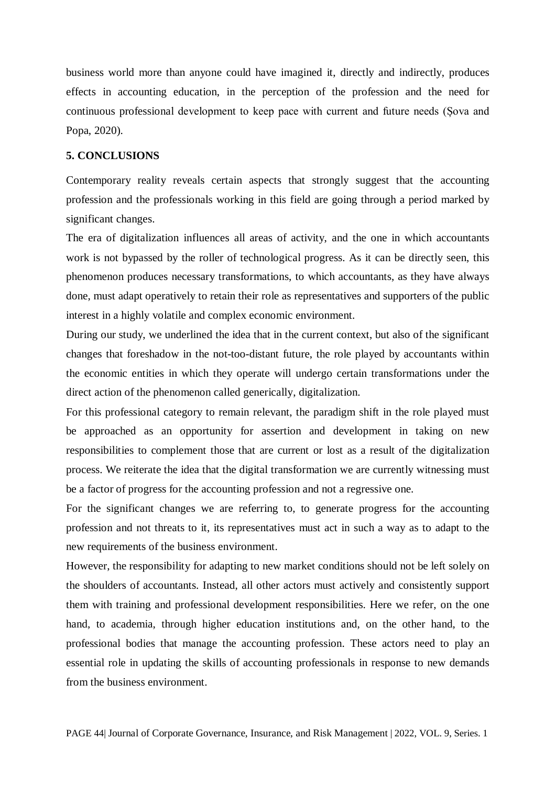business world more than anyone could have imagined it, directly and indirectly, produces effects in accounting education, in the perception of the profession and the need for continuous professional development to keep pace with current and future needs (Șova and Popa, 2020).

# **5. CONCLUSIONS**

Contemporary reality reveals certain aspects that strongly suggest that the accounting profession and the professionals working in this field are going through a period marked by significant changes.

The era of digitalization influences all areas of activity, and the one in which accountants work is not bypassed by the roller of technological progress. As it can be directly seen, this phenomenon produces necessary transformations, to which accountants, as they have always done, must adapt operatively to retain their role as representatives and supporters of the public interest in a highly volatile and complex economic environment.

During our study, we underlined the idea that in the current context, but also of the significant changes that foreshadow in the not-too-distant future, the role played by accountants within the economic entities in which they operate will undergo certain transformations under the direct action of the phenomenon called generically, digitalization.

For this professional category to remain relevant, the paradigm shift in the role played must be approached as an opportunity for assertion and development in taking on new responsibilities to complement those that are current or lost as a result of the digitalization process. We reiterate the idea that the digital transformation we are currently witnessing must be a factor of progress for the accounting profession and not a regressive one.

For the significant changes we are referring to, to generate progress for the accounting profession and not threats to it, its representatives must act in such a way as to adapt to the new requirements of the business environment.

However, the responsibility for adapting to new market conditions should not be left solely on the shoulders of accountants. Instead, all other actors must actively and consistently support them with training and professional development responsibilities. Here we refer, on the one hand, to academia, through higher education institutions and, on the other hand, to the professional bodies that manage the accounting profession. These actors need to play an essential role in updating the skills of accounting professionals in response to new demands from the business environment.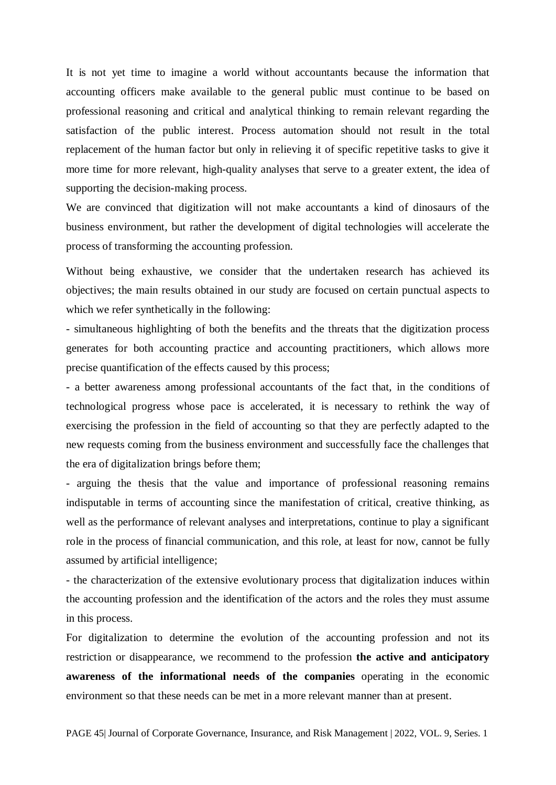It is not yet time to imagine a world without accountants because the information that accounting officers make available to the general public must continue to be based on professional reasoning and critical and analytical thinking to remain relevant regarding the satisfaction of the public interest. Process automation should not result in the total replacement of the human factor but only in relieving it of specific repetitive tasks to give it more time for more relevant, high-quality analyses that serve to a greater extent, the idea of supporting the decision-making process.

We are convinced that digitization will not make accountants a kind of dinosaurs of the business environment, but rather the development of digital technologies will accelerate the process of transforming the accounting profession.

Without being exhaustive, we consider that the undertaken research has achieved its objectives; the main results obtained in our study are focused on certain punctual aspects to which we refer synthetically in the following:

- simultaneous highlighting of both the benefits and the threats that the digitization process generates for both accounting practice and accounting practitioners, which allows more precise quantification of the effects caused by this process;

- a better awareness among professional accountants of the fact that, in the conditions of technological progress whose pace is accelerated, it is necessary to rethink the way of exercising the profession in the field of accounting so that they are perfectly adapted to the new requests coming from the business environment and successfully face the challenges that the era of digitalization brings before them;

- arguing the thesis that the value and importance of professional reasoning remains indisputable in terms of accounting since the manifestation of critical, creative thinking, as well as the performance of relevant analyses and interpretations, continue to play a significant role in the process of financial communication, and this role, at least for now, cannot be fully assumed by artificial intelligence;

- the characterization of the extensive evolutionary process that digitalization induces within the accounting profession and the identification of the actors and the roles they must assume in this process.

For digitalization to determine the evolution of the accounting profession and not its restriction or disappearance, we recommend to the profession **the active and anticipatory awareness of the informational needs of the companies** operating in the economic environment so that these needs can be met in a more relevant manner than at present.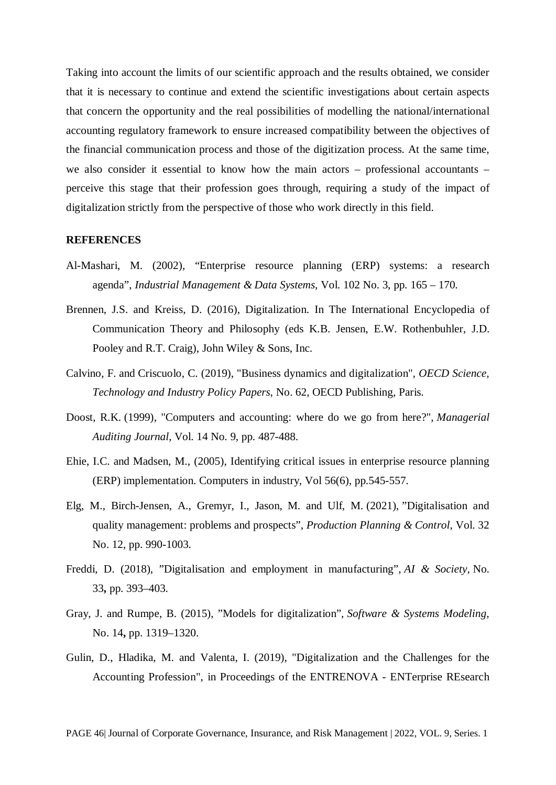Taking into account the limits of our scientific approach and the results obtained, we consider that it is necessary to continue and extend the scientific investigations about certain aspects that concern the opportunity and the real possibilities of modelling the national/international accounting regulatory framework to ensure increased compatibility between the objectives of the financial communication process and those of the digitization process. At the same time, we also consider it essential to know how the main actors – professional accountants – perceive this stage that their profession goes through, requiring a study of the impact of digitalization strictly from the perspective of those who work directly in this field.

#### **REFERENCES**

- Al-Mashari, M. (2002), "Enterprise resource planning (ERP) systems: a research agenda", *Industrial Management & Data Systems*, Vol. 102 No. 3, pp. 165 – 170.
- Brennen, J.S. and Kreiss, D. (2016), Digitalization. In The International Encyclopedia of Communication Theory and Philosophy (eds K.B. Jensen, E.W. Rothenbuhler, J.D. Pooley and R.T. Craig), John Wiley & Sons, Inc.
- Calvino, F. and Criscuolo, C. (2019), "Business dynamics and digitalization", *OECD Science, Technology and Industry Policy Papers*, No. 62, OECD Publishing, Paris.
- Doost, R.K. (1999), "Computers and accounting: where do we go from here?", *Managerial Auditing Journal*, Vol. 14 No. 9, pp. 487-488.
- Ehie, I.C. and Madsen, M., (2005), Identifying critical issues in enterprise resource planning (ERP) implementation. Computers in industry, Vol 56(6), pp.545-557.
- Elg, M., Birch-Jensen, A., Gremyr, I., Jason, M. and Ulf, M. (2021), "Digitalisation and quality management: problems and prospects", *Production Planning & Control*, Vol. 32 No. 12, pp. 990-1003.
- Freddi, D. (2018), "Digitalisation and employment in manufacturing", *AI & Society,* No. 33**,** pp. 393–403.
- Gray, J. and Rumpe, B. (2015), "Models for digitalization", *Software & Systems Modeling*, No. 14**,** pp. 1319–1320.
- Gulin, D., Hladika, M. and Valenta, I. (2019), "Digitalization and the Challenges for the Accounting Profession", in Proceedings of the ENTRENOVA - ENTerprise REsearch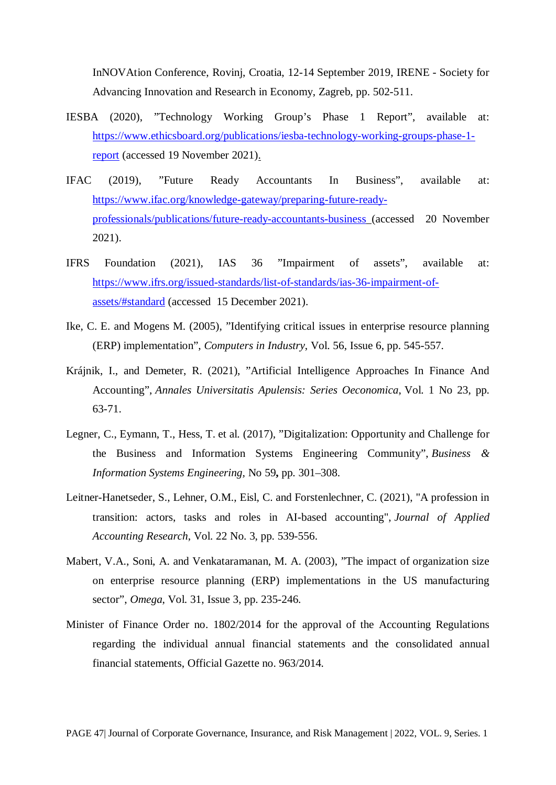InNOVAtion Conference, Rovinj, Croatia, 12-14 September 2019, IRENE - Society for Advancing Innovation and Research in Economy, Zagreb, pp. 502-511.

- IESBA (2020), "Technology Working Group's Phase 1 Report", available at: [https://www.ethicsboard.org/publications/iesba-technology-working-groups-phase-1](https://www.ethicsboard.org/publications/iesba-technology-working-groups-phase-1-report) [report](https://www.ethicsboard.org/publications/iesba-technology-working-groups-phase-1-report) (accessed 19 November 2021).
- IFAC (2019), "Future Ready Accountants In Business", available at: [https://www.ifac.org/knowledge-gateway/preparing-future-ready](https://www.ifac.org/knowledge-gateway/preparing-future-ready-professionals/publications/future-ready-accountants-business)[professionals/publications/future-ready-accountants-business](https://www.ifac.org/knowledge-gateway/preparing-future-ready-professionals/publications/future-ready-accountants-business) (accessed 20 November 2021).
- IFRS Foundation (2021), IAS 36 "Impairment of assets", available at: [https://www.ifrs.org/issued-standards/list-of-standards/ias-36-impairment-of](https://www.ifrs.org/issued-standards/list-of-standards/ias-36-impairment-of-assets/#standard)[assets/#standard](https://www.ifrs.org/issued-standards/list-of-standards/ias-36-impairment-of-assets/#standard) (accessed 15 December 2021).
- Ike, C. E. and Mogens M. (2005), "Identifying critical issues in enterprise resource planning (ERP) implementation", *Computers in Industry*, Vol. 56, Issue 6, pp. 545-557.
- Krájnik, I., and Demeter, R. (2021), "Artificial Intelligence Approaches In Finance And Accounting", *Annales Universitatis Apulensis: Series Oeconomica*, Vol. 1 No 23, pp. 63-71.
- Legner, C., Eymann, T., Hess, T. et al. (2017), "Digitalization: Opportunity and Challenge for the Business and Information Systems Engineering Community", *Business & Information Systems Engineering,* No 59**,** pp. 301–308.
- Leitner-Hanetseder, S., Lehner, O.M., Eisl, C. and Forstenlechner, C. (2021), "A profession in transition: actors, tasks and roles in AI-based accounting", *Journal of Applied Accounting Research*, Vol. 22 No. 3, pp. 539-556.
- Mabert, V.A., Soni, A. and Venkataramanan, M. A. (2003), "The impact of organization size on enterprise resource planning (ERP) implementations in the US manufacturing sector", *Omega*, Vol. 31, Issue 3, pp. 235-246.
- Minister of Finance Order no. 1802/2014 for the approval of the Accounting Regulations regarding the individual annual financial statements and the consolidated annual financial statements, Official Gazette no. 963/2014.